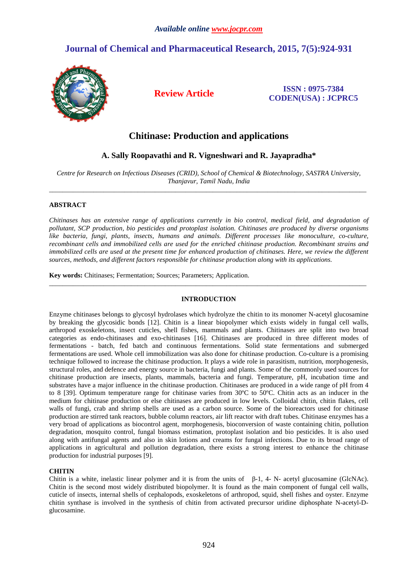# **Journal of Chemical and Pharmaceutical Research, 2015, 7(5):924-931**



**Review Article ISSN : 0975-7384 CODEN(USA) : JCPRC5**

## **Chitinase: Production and applications**

## **A. Sally Roopavathi and R. Vigneshwari and R. Jayapradha\***

*Centre for Research on Infectious Diseases (CRID), School of Chemical & Biotechnology, SASTRA University, Thanjavur, Tamil Nadu, India* \_\_\_\_\_\_\_\_\_\_\_\_\_\_\_\_\_\_\_\_\_\_\_\_\_\_\_\_\_\_\_\_\_\_\_\_\_\_\_\_\_\_\_\_\_\_\_\_\_\_\_\_\_\_\_\_\_\_\_\_\_\_\_\_\_\_\_\_\_\_\_\_\_\_\_\_\_\_\_\_\_\_\_\_\_\_\_\_\_\_\_\_\_

### **ABSTRACT**

*Chitinases has an extensive range of applications currently in bio control, medical field, and degradation of pollutant, SCP production, bio pesticides and protoplast isolation. Chitinases are produced by diverse organisms like bacteria, fungi, plants, insects, humans and animals. Different processes like monoculture, co-culture, recombinant cells and immobilized cells are used for the enriched chitinase production. Recombinant strains and immobilized cells are used at the present time for enhanced production of chitinases. Here, we review the different sources, methods, and different factors responsible for chitinase production along with its applications.*

**Key words:** Chitinases; Fermentation; Sources; Parameters; Application.

### **INTRODUCTION**

\_\_\_\_\_\_\_\_\_\_\_\_\_\_\_\_\_\_\_\_\_\_\_\_\_\_\_\_\_\_\_\_\_\_\_\_\_\_\_\_\_\_\_\_\_\_\_\_\_\_\_\_\_\_\_\_\_\_\_\_\_\_\_\_\_\_\_\_\_\_\_\_\_\_\_\_\_\_\_\_\_\_\_\_\_\_\_\_\_\_\_\_\_

Enzyme chitinases belongs to glycosyl hydrolases which hydrolyze the chitin to its monomer N-acetyl glucosamine by breaking the glycosidic bonds [12]. Chitin is a linear biopolymer which exists widely in fungal cell walls, arthropod exoskeletons, insect cuticles, shell fishes, mammals and plants. Chitinases are split into two broad categories as endo-chitinases and exo-chitinases [16]. Chitinases are produced in three different modes of fermentations - batch, fed batch and continuous fermentations. Solid state fermentations and submerged fermentations are used. Whole cell immobilization was also done for chitinase production. Co-culture is a promising technique followed to increase the chitinase production. It plays a wide role in parasitism, nutrition, morphogenesis, structural roles, and defence and energy source in bacteria, fungi and plants. Some of the commonly used sources for chitinase production are insects, plants, mammals, bacteria and fungi. Temperature, pH, incubation time and substrates have a major influence in the chitinase production. Chitinases are produced in a wide range of pH from 4 to 8 [39]. Optimum temperature range for chitinase varies from 30ºC to 50ºC. Chitin acts as an inducer in the medium for chitinase production or else chitinases are produced in low levels. Colloidal chitin, chitin flakes, cell walls of fungi, crab and shrimp shells are used as a carbon source. Some of the bioreactors used for chitinase production are stirred tank reactors, bubble column reactors, air lift reactor with draft tubes. Chitinase enzymes has a very broad of applications as biocontrol agent, morphogenesis, bioconversion of waste containing chitin, pollution degradation, mosquito control, fungal biomass estimation, protoplast isolation and bio pesticides. It is also used along with antifungal agents and also in skin lotions and creams for fungal infections. Due to its broad range of applications in agricultural and pollution degradation, there exists a strong interest to enhance the chitinase production for industrial purposes [9].

### **CHITIN**

Chitin is a white, inelastic linear polymer and it is from the units of β-1, 4- N- acetyl glucosamine (GlcNAc). Chitin is the second most widely distributed biopolymer. It is found as the main component of fungal cell walls, cuticle of insects, internal shells of cephalopods, exoskeletons of arthropod, squid, shell fishes and oyster. Enzyme chitin synthase is involved in the synthesis of chitin from activated precursor uridine diphosphate N-acetyl-Dglucosamine.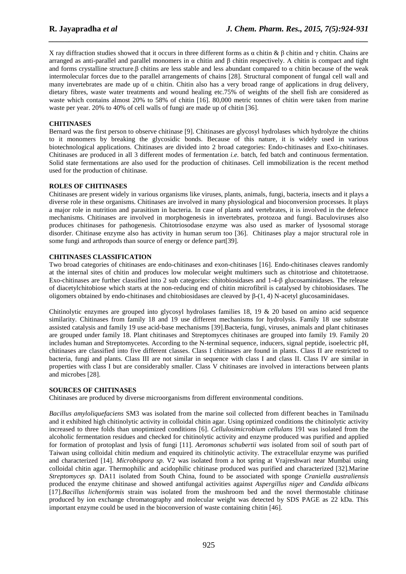X ray diffraction studies showed that it occurs in three different forms as  $\alpha$  chitin  $\& \beta$  chitin and γ chitin. Chains are arranged as anti-parallel and parallel monomers in α chitin and β chitin respectively. Α chitin is compact and tight and forms crystalline structure.β chitins are less stable and less abundant compared to α chitin because of the weak intermolecular forces due to the parallel arrangements of chains [28]. Structural component of fungal cell wall and many invertebrates are made up of  $\alpha$  chitin. Chitin also has a very broad range of applications in drug delivery, dietary fibres, waste water treatments and wound healing etc.75% of weights of the shell fish are considered as waste which contains almost 20% to 58% of chitin [16]. 80,000 metric tonnes of chitin were taken from marine waste per year. 20% to 40% of cell walls of fungi are made up of chitin [36].

*\_\_\_\_\_\_\_\_\_\_\_\_\_\_\_\_\_\_\_\_\_\_\_\_\_\_\_\_\_\_\_\_\_\_\_\_\_\_\_\_\_\_\_\_\_\_\_\_\_\_\_\_\_\_\_\_\_\_\_\_\_\_\_\_\_\_\_\_\_\_\_\_\_\_\_\_\_\_*

### **CHITINASES**

Bernard was the first person to observe chitinase [9]. Chitinases are glycosyl hydrolases which hydrolyze the chitins to it monomers by breaking the glycosidic bonds. Because of this nature, it is widely used in various biotechnological applications. Chitinases are divided into 2 broad categories: Endo-chitinases and Exo-chitinases. Chitinases are produced in all 3 different modes of fermentation *i.e.* batch, fed batch and continuous fermentation. Solid state fermentations are also used for the production of chitinases. Cell immobilization is the recent method used for the production of chitinase.

### **ROLES OF CHITINASES**

Chitinases are present widely in various organisms like viruses, plants, animals, fungi, bacteria, insects and it plays a diverse role in these organisms. Chitinases are involved in many physiological and bioconversion processes. It plays a major role in nutrition and parasitism in bacteria. In case of plants and vertebrates, it is involved in the defence mechanisms. Chitinases are involved in morphogenesis in invertebrates, protozoa and fungi. Baculoviruses also produces chitinases for pathogenesis. Chitotriosodase enzyme was also used as marker of lysosomal storage disorder. Chitinase enzyme also has activity in human serum too [36]. Chitinases play a major structural role in some fungi and arthropods than source of energy or defence part[39].

### **CHITINASES CLASSIFICATION**

Two broad categories of chitinases are endo-chitinases and exon-chitinases [16]. Endo-chitinases cleaves randomly at the internal sites of chitin and produces low molecular weight multimers such as chitotriose and chitotetraose. Exo-chitinases are further classified into 2 sub categories: chitobiosidases and 1-4-β glucosaminidases. The release of diacetylchitobiose which starts at the non-reducing end of chitin microfibril is catalysed by chitobiosidases. The oligomers obtained by endo-chitinases and chitobiosidases are cleaved by  $β-(1, 4)$  N-acetyl glucosaminidases.

Chitinolytic enzymes are grouped into glycosyl hydrolases families 18, 19 & 20 based on amino acid sequence similarity. Chitinases from family 18 and 19 use different mechanisms for hydrolysis. Family 18 use substrate assisted catalysis and family 19 use acid-base mechanisms [39].Bacteria, fungi, viruses, animals and plant chitinases are grouped under family 18. Plant chitinases and Streptomyces chitinases are grouped into family 19. Family 20 includes human and Streptomycetes. According to the N-terminal sequence, inducers, signal peptide, isoelectric pH, chitinases are classified into five different classes. Class I chitinases are found in plants. Class II are restricted to bacteria, fungi and plants. Class III are not similar in sequence with class I and class II. Class IV are similar in properties with class I but are considerably smaller. Class V chitinases are involved in interactions between plants and microbes [28].

### **SOURCES OF CHITINASES**

Chitinases are produced by diverse microorganisms from different environmental conditions.

*Bacillus amyloliquefaciens* SM3 was isolated from the marine soil collected from different beaches in Tamilnadu and it exhibited high chitinolytic activity in colloidal chitin agar. Using optimized conditions the chitinolytic activity increased to three folds than unoptimized conditions [6]. *Cellulosimicrobium cellulans* 191 was isolated from the alcoholic fermentation residues and checked for chitinolytic activity and enzyme produced was purified and applied for formation of protoplast and lysis of fungi [11]. *Aeromonas schubertii was* isolated from soil of south part of Taiwan using colloidal chitin medium and enquired its chitinolytic activity. The extracellular enzyme was purified and characterized [14]. *Microbispora sp.* V2 was isolated from a hot spring at Vrajreshwari near Mumbai using colloidal chitin agar. Thermophilic and acidophilic chitinase produced was purified and characterized [32].Marine *Streptomyces sp.* DA11 isolated from South China, found to be associated with sponge *Craniella australiensis* produced the enzyme chitinase and showed antifungal activities against *Aspergillus niger* and *Candida albicans*  [17].*Bacillus licheniformis* strain was isolated from the mushroom bed and the novel thermostable chitinase produced by ion exchange chromatography and molecular weight was detected by SDS PAGE as 22 kDa. This important enzyme could be used in the bioconversion of waste containing chitin [46].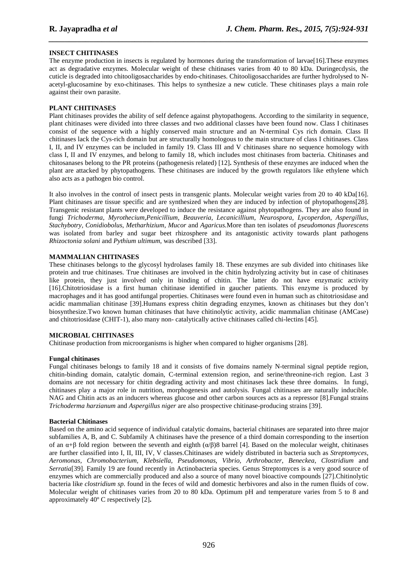### **INSECT CHITINASES**

The enzyme production in insects is regulated by hormones during the transformation of larvae[16].These enzymes act as degradative enzymes. Molecular weight of these chitinases varies from 40 to 80 kDa. Duringecdysis, the cuticle is degraded into chitooligosaccharides by endo-chitinases. Chitooligosaccharides are further hydrolysed to Nacetyl-glucosamine by exo-chitinases. This helps to synthesize a new cuticle. These chitinases plays a main role against their own parasite.

*\_\_\_\_\_\_\_\_\_\_\_\_\_\_\_\_\_\_\_\_\_\_\_\_\_\_\_\_\_\_\_\_\_\_\_\_\_\_\_\_\_\_\_\_\_\_\_\_\_\_\_\_\_\_\_\_\_\_\_\_\_\_\_\_\_\_\_\_\_\_\_\_\_\_\_\_\_\_*

### **PLANT CHITINASES**

Plant chitinases provides the ability of self defence against phytopathogens. According to the similarity in sequence, plant chitinases were divided into three classes and two additional classes have been found now. Class I chitinases consist of the sequence with a highly conserved main structure and an N-terminal Cys rich domain. Class II chitinases lack the Cys-rich domain but are structurally homologous to the main structure of class I chitinases. Class I, II, and IV enzymes can be included in family 19. Class III and V chitinases share no sequence homology with class I, II and IV enzymes, and belong to family 18, which includes most chitinases from bacteria. Chitinases and chitosanases belong to the PR proteins (pathogenesis related) [12]**.** Synthesis of these enzymes are induced when the plant are attacked by phytopathogens. These chitinases are induced by the growth regulators like ethylene which also acts as a pathogen bio control.

It also involves in the control of insect pests in transgenic plants. Molecular weight varies from 20 to 40 kDa[16]. Plant chitinases are tissue specific and are synthesized when they are induced by infection of phytopathogens[28]. Transgenic resistant plants were developed to induce the resistance against phytopathogens. They are also found in fungi *Trichoderma*, *Myrothecium,Penicillium*, *Beauveria*, *Lecanicillium*, *Neurospora*, *Lycoperdon*, *Aspergillus*, *Stachybotry, Conidiobolus*, *Metharhizium*, *Mucor* and *Agaricus.*More than ten isolates of *pseudomonas fluorescens* was isolated from barley and sugar beet rhizosphere and its antagonistic activity towards plant pathogens *Rhizoctonia solani* and *Pythium ultimum*, was described [33].

### **MAMMALIAN CHITINASES**

These chitinases belongs to the glycosyl hydrolases family 18. These enzymes are sub divided into chitinases like protein and true chitinases. True chitinases are involved in the chitin hydrolyzing activity but in case of chitinases like protein, they just involved only in binding of chitin. The latter do not have enzymatic activity [16].Chitotriosidase is a first human chitinase identified in gaucher patients. This enzyme is produced by macrophages and it has good antifungal properties. Chitinases were found even in human such as chitotriosidase and acidic mammalian chitinase [39].Humans express chitin degrading enzymes, known as chitinases but they don't biosynthesize.Two known human chitinases that have chitinolytic activity, acidic mammalian chitinase (AMCase) and chitotriosidase (CHIT-1), also many non- catalytically active chitinases called chi-lectins [45].

### **MICROBIAL CHITINASES**

Chitinase production from microorganisms is higher when compared to higher organisms [28].

### **Fungal chitinases**

Fungal chitinases belongs to family 18 and it consists of five domains namely N-terminal signal peptide region, chitin-binding domain, catalytic domain, C-terminal extension region, and serine/threonine-rich region. Last 3 domains are not necessary for chitin degrading activity and most chitinases lack these three domains. In fungi, chitinases play a major role in nutrition, morphogenesis and autolysis. Fungal chitinases are naturally inducible. NAG and Chitin acts as an inducers whereas glucose and other carbon sources acts as a repressor [8].Fungal strains *Trichoderma harzianum* and *Aspergillus niger* are also prospective chitinase-producing strains [39].

### **Bacterial Chitinases**

Based on the amino acid sequence of individual catalytic domains, bacterial chitinases are separated into three major subfamilies A, B, and C. Subfamily A chitinases have the presence of a third domain corresponding to the insertion of an  $\alpha+\beta$  fold region between the seventh and eighth  $(\alpha/\beta)8$  barrel [4]. Based on the molecular weight, chitinases are further classified into I, II, III, IV, V classes.Chitinases are widely distributed in bacteria such as *Streptomyces*, *Aeromonas, Chromobacterium, Klebsiella*, *Pseudomonas*, *Vibrio, Arthrobacter*, *Beneckea*, *Clostridium* and *Serratia*[39]*.* Family 19 are found recently in Actinobacteria species. Genus Streptomyces is a very good source of enzymes which are commercially produced and also a source of many novel bioactive compounds [27].Chitinolytic bacteria like *clostridium sp.* found in the feces of wild and domestic herbivores and also in the rumen fluids of cow. Molecular weight of chitinases varies from 20 to 80 kDa. Optimum pH and temperature varies from 5 to 8 and approximately 40º C respectively [2]**.**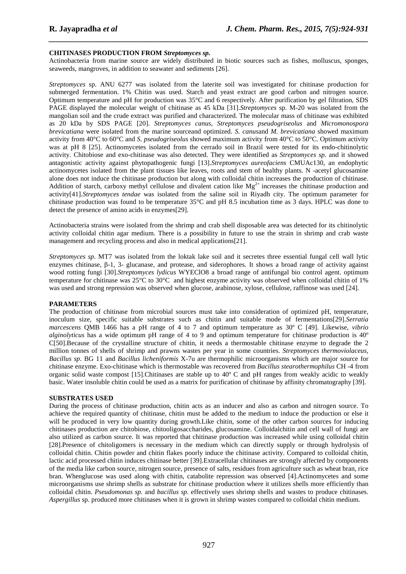### **CHITINASES PRODUCTION FROM** *Streptomyces sp.*

Actinobacteria from marine source are widely distributed in biotic sources such as fishes, molluscus, sponges, seaweeds, mangroves, in addition to seawater and sediments [26].

*\_\_\_\_\_\_\_\_\_\_\_\_\_\_\_\_\_\_\_\_\_\_\_\_\_\_\_\_\_\_\_\_\_\_\_\_\_\_\_\_\_\_\_\_\_\_\_\_\_\_\_\_\_\_\_\_\_\_\_\_\_\_\_\_\_\_\_\_\_\_\_\_\_\_\_\_\_\_*

*Streptomyces* sp. ANU 6277 was isolated from the laterite soil was investigated for chitinase production for submerged fermentation. 1% Chitin was used. Starch and yeast extract are good carbon and nitrogen source. Optimum temperature and pH for production was 35°C and 6 respectively. After purification by gel filtration, SDS PAGE displayed the molecular weight of chitinase as 45 kDa [31].*Streptomyces* sp. M-20 was isolated from the mangolian soil and the crude extract was purified and characterized. The molecular mass of chitinase was exhibited as 20 kDa by SDS PAGE [20]. *Streptomyces canus, Streptomyces pseudogriseolus* and *Micromonospora brevicatiana* were isolated from the marine sourceand optimized. *S. canus*and *M. brevicatiana* showed maximum activity from 40°C to 60°C and *S. pseudogriseolus* showed maximum activity from 40°C to 50°C. Optimum activity was at pH 8 [25]. Actinomycetes isolated from the cerrado soil in Brazil were tested for its endo-chitinolytic activity. Chitobiose and exo-chitinase was also detected. They were identified as *Streptomyces sp*. and it showed antagonistic activity against phytopathogenic fungi [13].*Streptomyces aureofaciens* CMUAc130, an endophytic actinomycetes isolated from the plant tissues like leaves, roots and stem of healthy plants. N -acetyl glucosamine alone does not induce the chitinase production but along with colloidal chitin increases the production of chitinase. Addition of starch, carboxy methyl cellulose and divalent cation like  $Mg^{2+}$  increases the chitinase production and activity[41].*Streptomyces tendae* was isolated from the saline soil in Riyadh city. The optimum parameter for chitinase production was found to be temperature 35°C and pH 8.5 incubation time as 3 days. HPLC was done to detect the presence of amino acids in enzymes[29].

Actinobacteria strains were isolated from the shrimp and crab shell disposable area was detected for its chitinolytic activity colloidal chitin agar medium. There is a possibility in future to use the strain in shrimp and crab waste management and recycling process and also in medical applications[21].

*Streptomyces sp*. MT7 was isolated from the loktak lake soil and it secretes three essential fungal cell wall lytic enzymes chitinase, β-1, 3- glucanase, and protease, and siderophores. It shows a broad range of activity against wood rotting fungi [30].*Streptomyces lydicus* WYEClO8 a broad range of antifungal bio control agent. optimum temperature for chitinase was 25°C to 30°C and highest enzyme activity was observed when colloidal chitin of 1% was used and strong repression was observed when glucose, arabinose, xylose, cellulose, raffinose was used [24].

### **PARAMETERS**

The production of chitinase from microbial sources must take into consideration of optimized pH, temperature, inoculum size, specific suitable substrates such as chitin and suitable mode of fermentations[29].*Serratia marcescens* QMB 1466 has a pH range of 4 to 7 and optimum temperature as 30º C [49]. Likewise, *vibrio alginolyticus* has a wide optimum pH range of 4 to 9 and optimum temperature for chitinase production is 40º C[50].Because of the crystalline structure of chitin, it needs a thermostable chitinase enzyme to degrade the 2 million tonnes of shells of shrimp and prawns wastes per year in some countries. *Streptomyces thermoviolaceus, Bacillus sp*. BG 11 and *Bacillus licheniformis* X-7u are thermophilic microorganisms which are major source for chitinase enzyme. Exo-chitinase which is thermostable was recovered from *Bacillus stearothermophilus* CH -4 from organic solid waste compost [15].Chitinases are stable up to 40º C and pH ranges from weakly acidic to weakly basic. Water insoluble chitin could be used as a matrix for purification of chitinase by affinity chromatography [39].

#### **SUBSTRATES USED**

During the process of chitinase production, chitin acts as an inducer and also as carbon and nitrogen source. To achieve the required quantity of chitinase, chitin must be added to the medium to induce the production or else it will be produced in very low quantity during growth.Like chitin, some of the other carbon sources for inducing chitinases production are chitobiose, chitooligosaccharides, glucosamine. Colloidalchitin and cell wall of fungi are also utilized as carbon source. It was reported that chitinase production was increased while using colloidal chitin [28].Presence of chitoligomers is necessary in the medium which can directly supply or through hydrolysis of colloidal chitin. Chitin powder and chitin flakes poorly induce the chitinase activity. Compared to colloidal chitin, lactic acid processed chitin induces chitinase better [39].Extracellular chitinases are strongly affected by components of the media like carbon source, nitrogen source, presence of salts, residues from agriculture such as wheat bran, rice bran. Whenglucose was used along with chitin, catabolite repression was observed [4].Actinomycetes and some microorganisms use shrimp shells as substrate for chitinase production where it utilizes shells more efficiently than colloidal chitin. *Pseudomonas sp.* and *bacillus sp.* effectively uses shrimp shells and wastes to produce chitinases. *Aspergillus* sp. produced more chitinases when it is grown in shrimp wastes compared to colloidal chitin medium.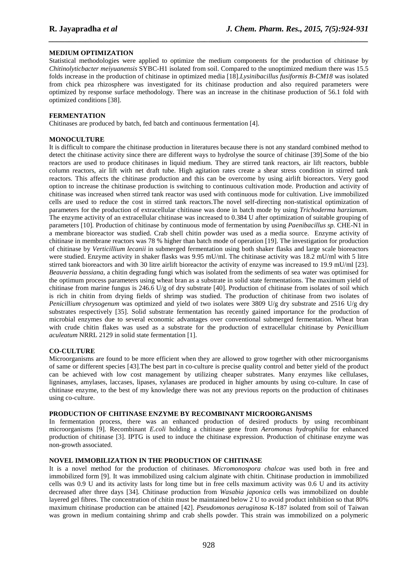### **MEDIUM OPTIMIZATION**

Statistical methodologies were applied to optimize the medium components for the production of chitinase by *Chitinolyticbacter meiyuanensis* SYBC-H1 isolated from soil. Compared to the unoptimized medium there was 15.5 folds increase in the production of chitinase in optimized media [18].*Lysinibacillus fusiformis B-CM18* was isolated from chick pea rhizosphere was investigated for its chitinase production and also required parameters were optimized by response surface methodology. There was an increase in the chitinase production of 56.1 fold with optimized conditions [38].

*\_\_\_\_\_\_\_\_\_\_\_\_\_\_\_\_\_\_\_\_\_\_\_\_\_\_\_\_\_\_\_\_\_\_\_\_\_\_\_\_\_\_\_\_\_\_\_\_\_\_\_\_\_\_\_\_\_\_\_\_\_\_\_\_\_\_\_\_\_\_\_\_\_\_\_\_\_\_*

### **FERMENTATION**

Chitinases are produced by batch, fed batch and continuous fermentation [4].

#### **MONOCULTURE**

It is difficult to compare the chitinase production in literatures because there is not any standard combined method to detect the chitinase activity since there are different ways to hydrolyse the source of chitinase [39].Some of the bio reactors are used to produce chitinases in liquid medium. They are stirred tank reactors, air lift reactors, bubble column reactors, air lift with net draft tube. High agitation rates create a shear stress condition in stirred tank reactors. This affects the chitinase production and this can be overcome by using airlift bioreactors. Very good option to increase the chitinase production is switching to continuous cultivation mode. Production and activity of chitinase was increased when stirred tank reactor was used with continuous mode for cultivation. Live immobilized cells are used to reduce the cost in stirred tank reactors.The novel self-directing non-statistical optimization of parameters for the production of extracellular chitinase was done in batch mode by using *Trichoderma harzianum.*  The enzyme activity of an extracellular chitinase was increased to 0.384 U after optimization of suitable grouping of parameters [10]*.* Production of chitinase by continuous mode of fermentation by using *Paenibacillus sp.* CHE-N1 in a membrane bioreactor was studied. Crab shell chitin powder was used as a media source. Enzyme activity of chitinase in membrane reactors was 78 % higher than batch mode of operation [19]. The investigation for production of chitinase by *Verticillium lecanii* in submerged fermentation using both shaker flasks and large scale bioreactors were studied. Enzyme activity in shaker flasks was 9.95 mU/ml. The chitinase activity was 18.2 mU/ml with 5 litre stirred tank bioreactors and with 30 litre airlift bioreactor the activity of enzyme was increased to 19.9 mU/ml [23]. *Beauveria bassiana*, a chitin degrading fungi which was isolated from the sediments of sea water was optimised for the optimum process parameters using wheat bran as a substrate in solid state fermentations. The maximum yield of chitinase from marine fungus is 246.6 U/g of dry substrate [40]. Production of chitinase from isolates of soil which is rich in chitin from drying fields of shrimp was studied. The production of chitinase from two isolates of *Penicillium chrysogenum* was optimized and yield of two isolates were 3809 U/g dry substrate and 2516 U/g dry substrates respectively [35]. Solid substrate fermentation has recently gained importance for the production of microbial enzymes due to several economic advantages over conventional submerged fermentation. Wheat bran with crude chitin flakes was used as a substrate for the production of extracellular chitinase by *Penicillium aculeatum* NRRL 2129 in solid state fermentation [1].

### **CO-CULTURE**

Microorganisms are found to be more efficient when they are allowed to grow together with other microorganisms of same or different species [43].The best part in co-culture is precise quality control and better yield of the product can be achieved with low cost management by utilizing cheaper substrates. Many enzymes like cellulases, ligninases, amylases, laccases, lipases, xylanases are produced in higher amounts by using co-culture. In case of chitinase enzyme, to the best of my knowledge there was not any previous reports on the production of chitinases using co-culture.

### **PRODUCTION OF CHITINASE ENZYME BY RECOMBINANT MICROORGANISMS**

In fermentation process, there was an enhanced production of desired products by using recombinant microorganisms [9]. Recombinant *E.coli* holding a chitinase gene from *Aeromonas hydrophilia* for enhanced production of chitinase [3]. IPTG is used to induce the chitinase expression. Production of chitinase enzyme was non-growth associated.

#### **NOVEL IMMOBILIZATION IN THE PRODUCTION OF CHITINASE**

It is a novel method for the production of chitinases. *Micromonospora chalcae* was used both in free and immobilized form [9]. It was immobilized using calcium alginate with chitin. Chitinase production in immobilized cells was 0.9 U and its activity lasts for long time but in free cells maximum activity was 0.6 U and its activity decreased after three days [34]. Chitinase production from *Wasabia japonica* cells was immobilized on double layered gel fibres. The concentration of chitin must be maintained below 2 U to avoid product inhibition so that 80% maximum chitinase production can be attained [42]. *Pseudomonas aeruginosa* K-187 isolated from soil of Taiwan was grown in medium containing shrimp and crab shells powder. This strain was immobilized on a polymeric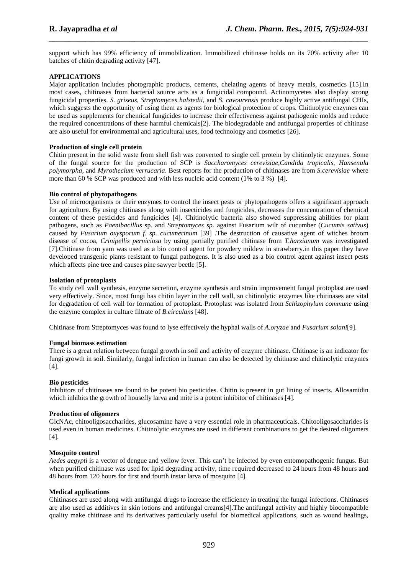support which has 99% efficiency of immobilization. Immobilized chitinase holds on its 70% activity after 10 batches of chitin degrading activity [47].

*\_\_\_\_\_\_\_\_\_\_\_\_\_\_\_\_\_\_\_\_\_\_\_\_\_\_\_\_\_\_\_\_\_\_\_\_\_\_\_\_\_\_\_\_\_\_\_\_\_\_\_\_\_\_\_\_\_\_\_\_\_\_\_\_\_\_\_\_\_\_\_\_\_\_\_\_\_\_*

### **APPLICATIONS**

Major application includes photographic products, cements, chelating agents of heavy metals, cosmetics [15].In most cases, chitinases from bacterial source acts as a fungicidal compound. Actinomycetes also display strong fungicidal properties. *S. griseus, Streptomyces halstedii,* and *S. cavourensis* produce highly active antifungal CHIs, which suggests the opportunity of using them as agents for biological protection of crops. Chitinolytic enzymes can be used as supplements for chemical fungicides to increase their effectiveness against pathogenic molds and reduce the required concentrations of these harmful chemicals[2]. The biodegradable and antifungal properties of chitinase are also useful for environmental and agricultural uses, food technology and cosmetics [26].

### **Production of single cell protein**

Chitin present in the solid waste from shell fish was converted to single cell protein by chitinolytic enzymes. Some of the fungal source for the production of SCP is *Saccharomyces cerevisiae,Candida tropicalis, Hansenula polymorpha,* and *Myrothecium verrucaria*. Best reports for the production of chitinases are from *S.cerevisiae* where more than 60 % SCP was produced and with less nucleic acid content (1% to 3 %) [4].

### **Bio control of phytopathogens**

Use of microorganisms or their enzymes to control the insect pests or phytopathogens offers a significant approach for agriculture. By using chitinases along with insecticides and fungicides, decreases the concentration of chemical content of these pesticides and fungicides [4]. Chitinolytic bacteria also showed suppressing abilities for plant pathogens, such as *Paenibacillus* sp. and *Streptomyces sp*. against Fusarium wilt of cucumber (*Cucumis sativus*) caused by *Fusarium oxysporum f. sp. cucumerinum* [39] .The destruction of causative agent of witches broom disease of cocoa, *Crinipellis perniciosa* by using partially purified chitinase from *T.harzianum* was investigated [7].Chitinase from yam was used as a bio control agent for powdery mildew in strawberry.in this paper they have developed transgenic plants resistant to fungal pathogens. It is also used as a bio control agent against insect pests which affects pine tree and causes pine sawyer beetle [5].

### **Isolation of protoplasts**

To study cell wall synthesis, enzyme secretion, enzyme synthesis and strain improvement fungal protoplast are used very effectively. Since, most fungi has chitin layer in the cell wall, so chitinolytic enzymes like chitinases are vital for degradation of cell wall for formation of protoplast. Protoplast was isolated from *Schizophylum commune* using the enzyme complex in culture filtrate of *B.circulans* [48].

Chitinase from Streptomyces was found to lyse effectively the hyphal walls of *A.oryzae* and *Fusarium solani*[9].

### **Fungal biomass estimation**

There is a great relation between fungal growth in soil and activity of enzyme chitinase. Chitinase is an indicator for fungi growth in soil. Similarly, fungal infection in human can also be detected by chitinase and chitinolytic enzymes  $[4]$ .

### **Bio pesticides**

Inhibitors of chitinases are found to be potent bio pesticides. Chitin is present in gut lining of insects. Allosamidin which inhibits the growth of housefly larva and mite is a potent inhibitor of chitinases [4].

### **Production of oligomers**

GlcNAc, chitooligosaccharides, glucosamine have a very essential role in pharmaceuticals. Chitooligosaccharides is used even in human medicines. Chitinolytic enzymes are used in different combinations to get the desired oligomers [4].

### **Mosquito control**

*Aedes aegypti* is a vector of dengue and yellow fever. This can't be infected by even entomopathogenic fungus. But when purified chitinase was used for lipid degrading activity, time required decreased to 24 hours from 48 hours and 48 hours from 120 hours for first and fourth instar larva of mosquito [4].

### **Medical applications**

Chitinases are used along with antifungal drugs to increase the efficiency in treating the fungal infections. Chitinases are also used as additives in skin lotions and antifungal creams[4].The antifungal activity and highly biocompatible quality make chitinase and its derivatives particularly useful for biomedical applications, such as wound healings,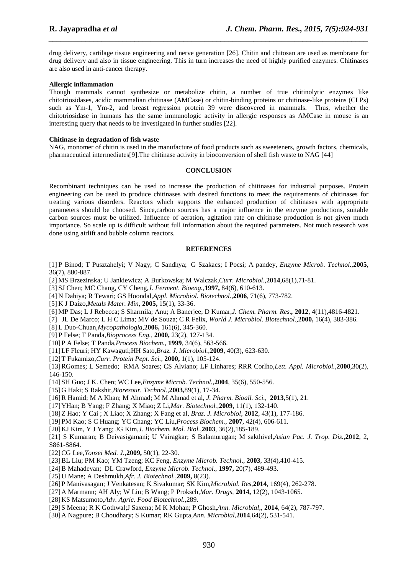drug delivery, cartilage tissue engineering and nerve generation [26]. Chitin and chitosan are used as membrane for drug delivery and also in tissue engineering. This in turn increases the need of highly purified enzymes. Chitinases are also used in anti-cancer therapy.

*\_\_\_\_\_\_\_\_\_\_\_\_\_\_\_\_\_\_\_\_\_\_\_\_\_\_\_\_\_\_\_\_\_\_\_\_\_\_\_\_\_\_\_\_\_\_\_\_\_\_\_\_\_\_\_\_\_\_\_\_\_\_\_\_\_\_\_\_\_\_\_\_\_\_\_\_\_\_*

#### **Allergic inflammation**

Though mammals cannot synthesize or metabolize chitin, a number of true chitinolytic enzymes like chitotriosidases, acidic mammalian chitinase (AMCase) or chitin-binding proteins or chitinase-like proteins (CLPs) such as Ym-1, Ym-2, and breast regression protein 39 were discovered in mammals. Thus, whether the chitotriosidase in humans has the same immunologic activity in allergic responses as AMCase in mouse is an interesting query that needs to be investigated in further studies [22].

#### **Chitinase in degradation of fish waste**

NAG, monomer of chitin is used in the manufacture of food products such as sweeteners, growth factors, chemicals, pharmaceutical intermediates[9].The chitinase activity in bioconversion of shell fish waste to NAG [44]

#### **CONCLUSION**

Recombinant techniques can be used to increase the production of chitinases for industrial purposes. Protein engineering can be used to produce chitinases with desired functions to meet the requirements of chitinases for treating various disorders. Reactors which supports the enhanced production of chitinases with appropriate parameters should be choosed. Since,carbon sources has a major influence in the enzyme productions, suitable carbon sources must be utilized. Influence of aeration, agitation rate on chitinase production is not given much importance. So scale up is difficult without full information about the required parameters. Not much research was done using airlift and bubble column reactors.

### **REFERENCES**

[1] P Binod; T Pusztahelyi; V Nagy; C Sandhya; G Szakacs; I Pocsi; A pandey, *Enzyme Microb. Technol.,***2005**, 36(7), 880-887.

[2] MS Brzezinska; U Jankiewicz; A Burkowska; M Walczak,*Curr. Microbiol*.,**2014**,68(1),71-81.

[3] SJ Chen; MC Chang, CY Cheng,*J. Ferment. Bioeng.,***1997,** 84(6), 610-613.

- [4] N Dahiya; R Tewari; GS Hoondal,*Appl. Microbiol. Biotechnol.,***2006**, 71(6), 773-782.
- [5] K J Daizo,*Metals Mater. Min*, **2005,** 15(1), 33-36.
- [6] MP Das; L J Rebecca; S Sharmila; Anu; A Banerjee; D Kumar,*J. Chem. Pharm. Res.,* **2012**, 4(11),4816-4821.

[7] JL De Marco; L H C Lima; MV de Souza; C R Felix, *World J. Microbiol. Biotechnol.,***2000,** 16(4), 383-386.

- [8] L Duo-Chuan,*Mycopathologia,***2006,** 161(6), 345-360.
- [9] P Felse; T Panda,*Bioprocess Eng.,* **2000,** 23(2), 127-134.

[10]P A Felse; T Panda,*Process Biochem.,* **1999**, 34(6), 563-566.

- [11]LF Fleuri; HY Kawaguti;HH Sato,*Braz. J. Microbiol.*,**2009**, 40(3), 623-630.
- [12]T Fukamizo,*Curr. Protein Pept. Sci.,* **2000,** 1(1), 105-124.

[13]RGomes; L Semedo; RMA Soares; CS Alviano; LF Linhares; RRR Corlho,*Lett. Appl. Microbiol.,***2000***,*30(2), 146-150.

- [14]SH Guo; J K. Chen; WC Lee,*Enzyme Microb. Technol.*,**2004**, 35(6), 550-556.
- [15]G Haki; S Rakshit,*Bioresour. Technol.,***2003,**89(1), 17-34.
- [16]R Hamid; M A Khan; M Ahmad; M M Ahmad et al, *J. Pharm. Bioall. Sci.*, **2013**,5(1), 21.
- [17]YHan; B Yang; F Zhang; X Miao; Z Li,*Mar. Biotechnol.,***2009**, 11(1), 132-140.
- [18]Z Hao; Y Cai ; X Liao; X Zhang; X Fang et al, *Braz. J. Microbiol,* **2012**, 43(1), 177-186.
- [19]PM Kao; S C Huang; YC Chang; YC Liu,*Process Biochem.,* **2007**, 42(4), 606-611.
- [20]KJ Kim, Y J Yang; JG Kim,*J. Biochem. Mol. Biol.,***2003**, 36(2),185-189.

[21] S Kumaran; B Deivasigamani; U Vairagkar; S Balamurugan; M sakthivel,*Asian Pac. J. Trop. Dis.*,**2012**, 2, S861-S864.

[22]CG Lee,*Yonsei Med. J.*,**2009,** 50(1), 22-30.

[23]BL Liu; PM Kao; YM Tzeng; KC Feng, *Enzyme Microb. Technol*., **2003**, 33(4),410-415.

[24]B Mahadevan; DL Crawford, *Enzyme Microb. Technol*., **1997,** 20(7), 489-493.

- [25]U Mane; A Deshmukh,*Afr. J. Biotechnol.,***2009,** 8(23).
- [26]P Manivasagan; J Venkatesan; K Sivakumar; SK Kim,*Microbiol. Res*,**2014**, 169(4), 262-278.
- [27]A Marmann; AH Aly; W Lin; B Wang; P Proksch,*Mar. Drugs*, **2014,** 12(2), 1043-1065.
- [28]KS Matsumoto,*Adv. Agric. Food Biotechnol.*,289.
- [29]S Meena; R K Gothwal;J Saxena; M K Mohan; P Ghosh,*Ann. Microbial*,, **2014**, 64(2), 787-797.
- [30]A Nagpure; B Choudhary; S Kumar; RK Gupta,*Ann. Microbial*,**2014**,64(2), 531-541.